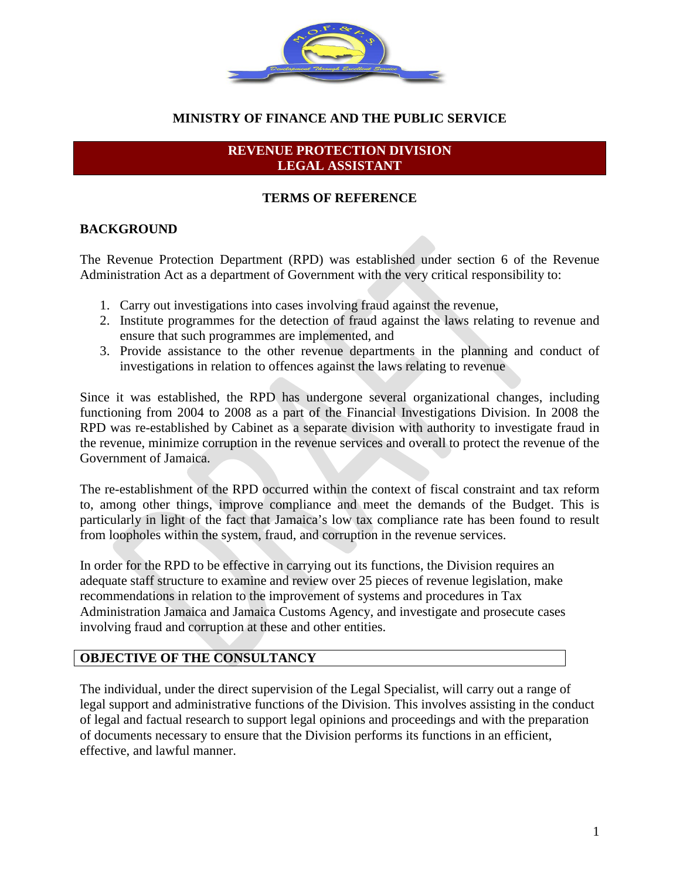

## **MINISTRY OF FINANCE AND THE PUBLIC SERVICE**

#### **REVENUE PROTECTION DIVISION LEGAL ASSISTANT**

#### **TERMS OF REFERENCE**

#### **BACKGROUND**

The Revenue Protection Department (RPD) was established under section 6 of the Revenue Administration Act as a department of Government with the very critical responsibility to:

- 1. Carry out investigations into cases involving fraud against the revenue,
- 2. Institute programmes for the detection of fraud against the laws relating to revenue and ensure that such programmes are implemented, and
- 3. Provide assistance to the other revenue departments in the planning and conduct of investigations in relation to offences against the laws relating to revenue

Since it was established, the RPD has undergone several organizational changes, including functioning from 2004 to 2008 as a part of the Financial Investigations Division. In 2008 the RPD was re-established by Cabinet as a separate division with authority to investigate fraud in the revenue, minimize corruption in the revenue services and overall to protect the revenue of the Government of Jamaica.

The re-establishment of the RPD occurred within the context of fiscal constraint and tax reform to, among other things, improve compliance and meet the demands of the Budget. This is particularly in light of the fact that Jamaica's low tax compliance rate has been found to result from loopholes within the system, fraud, and corruption in the revenue services.

In order for the RPD to be effective in carrying out its functions, the Division requires an adequate staff structure to examine and review over 25 pieces of revenue legislation, make recommendations in relation to the improvement of systems and procedures in Tax Administration Jamaica and Jamaica Customs Agency, and investigate and prosecute cases involving fraud and corruption at these and other entities.

#### **OBJECTIVE OF THE CONSULTANCY**

The individual, under the direct supervision of the Legal Specialist, will carry out a range of legal support and administrative functions of the Division. This involves assisting in the conduct of legal and factual research to support legal opinions and proceedings and with the preparation of documents necessary to ensure that the Division performs its functions in an efficient, effective, and lawful manner.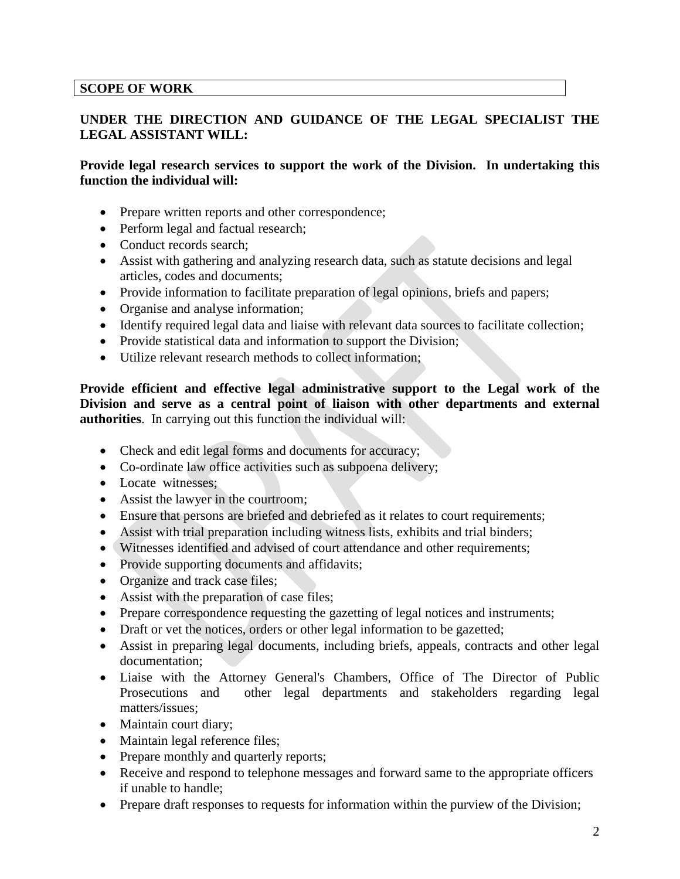#### **SCOPE OF WORK**

#### **UNDER THE DIRECTION AND GUIDANCE OF THE LEGAL SPECIALIST THE LEGAL ASSISTANT WILL:**

#### **Provide legal research services to support the work of the Division. In undertaking this function the individual will:**

- Prepare written reports and other correspondence;
- Perform legal and factual research;
- Conduct records search;
- Assist with gathering and analyzing research data, such as statute decisions and legal articles, codes and documents;
- Provide information to facilitate preparation of legal opinions, briefs and papers;
- Organise and analyse information;
- Identify required legal data and liaise with relevant data sources to facilitate collection;
- Provide statistical data and information to support the Division;
- Utilize relevant research methods to collect information;

**Provide efficient and effective legal administrative support to the Legal work of the Division and serve as a central point of liaison with other departments and external authorities**. In carrying out this function the individual will:

- Check and edit legal forms and documents for accuracy;
- Co-ordinate law office activities such as subpoena delivery;
- Locate witnesses;
- Assist the lawyer in the courtroom;
- Ensure that persons are briefed and debriefed as it relates to court requirements;
- Assist with trial preparation including witness lists, exhibits and trial binders;
- Witnesses identified and advised of court attendance and other requirements;
- Provide supporting documents and affidavits;
- Organize and track case files;
- Assist with the preparation of case files;
- Prepare correspondence requesting the gazetting of legal notices and instruments;
- Draft or vet the notices, orders or other legal information to be gazetted;
- Assist in preparing legal documents, including briefs, appeals, contracts and other legal documentation;
- Liaise with the Attorney General's Chambers, Office of The Director of Public Prosecutions and other legal departments and stakeholders regarding legal matters/issues;
- Maintain court diary;
- Maintain legal reference files:
- Prepare monthly and quarterly reports;
- Receive and respond to telephone messages and forward same to the appropriate officers if unable to handle;
- Prepare draft responses to requests for information within the purview of the Division;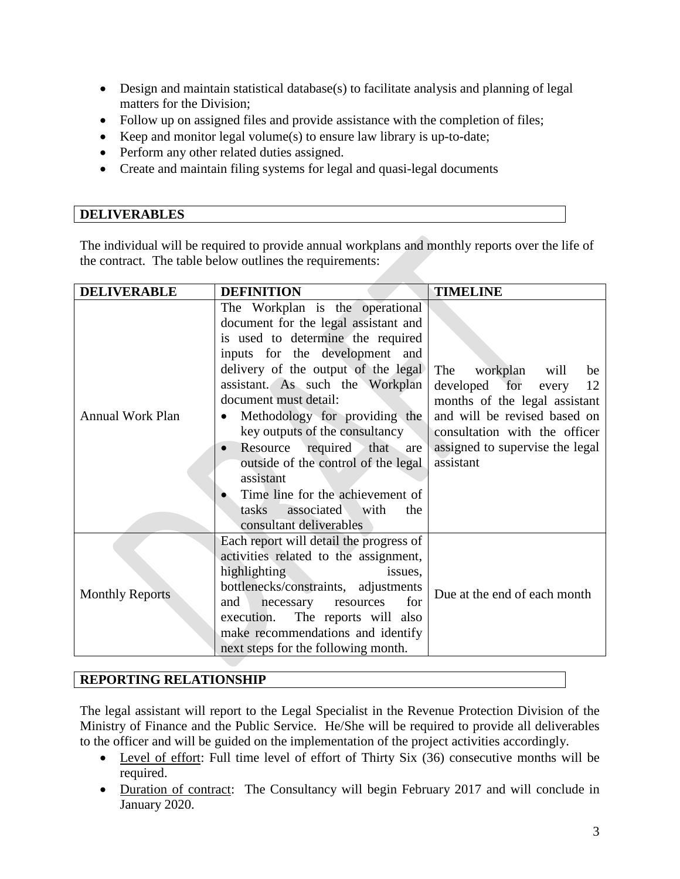- Design and maintain statistical database(s) to facilitate analysis and planning of legal matters for the Division;
- Follow up on assigned files and provide assistance with the completion of files;
- Keep and monitor legal volume(s) to ensure law library is up-to-date;
- Perform any other related duties assigned.
- Create and maintain filing systems for legal and quasi-legal documents

#### **DELIVERABLES**

The individual will be required to provide annual workplans and monthly reports over the life of the contract. The table below outlines the requirements:

| <b>DELIVERABLE</b>      | <b>DEFINITION</b>                                                                                                                                                                                                                                                                                                                                                                                                                                                                                           | <b>TIMELINE</b>                                                                                                                                                                                                 |
|-------------------------|-------------------------------------------------------------------------------------------------------------------------------------------------------------------------------------------------------------------------------------------------------------------------------------------------------------------------------------------------------------------------------------------------------------------------------------------------------------------------------------------------------------|-----------------------------------------------------------------------------------------------------------------------------------------------------------------------------------------------------------------|
| <b>Annual Work Plan</b> | The Workplan is the operational<br>document for the legal assistant and<br>is used to determine the required<br>inputs for the development and<br>delivery of the output of the legal<br>assistant. As such the Workplan<br>document must detail:<br>Methodology for providing the<br>key outputs of the consultancy<br>Resource required that are<br>outside of the control of the legal<br>assistant<br>Time line for the achievement of<br>associated<br>with<br>tasks<br>the<br>consultant deliverables | The<br>workplan<br>will<br>be<br>developed for<br>12<br>every<br>months of the legal assistant<br>and will be revised based on<br>consultation with the officer<br>assigned to supervise the legal<br>assistant |
| <b>Monthly Reports</b>  | Each report will detail the progress of<br>activities related to the assignment,<br>highlighting<br>issues,<br>bottlenecks/constraints, adjustments<br>for<br>and<br>necessary<br>resources<br>The reports will also<br>execution.<br>make recommendations and identify<br>next steps for the following month.                                                                                                                                                                                              | Due at the end of each month                                                                                                                                                                                    |

#### **REPORTING RELATIONSHIP**

The legal assistant will report to the Legal Specialist in the Revenue Protection Division of the Ministry of Finance and the Public Service. He/She will be required to provide all deliverables to the officer and will be guided on the implementation of the project activities accordingly.

- Level of effort: Full time level of effort of Thirty Six (36) consecutive months will be required.
- Duration of contract: The Consultancy will begin February 2017 and will conclude in January 2020.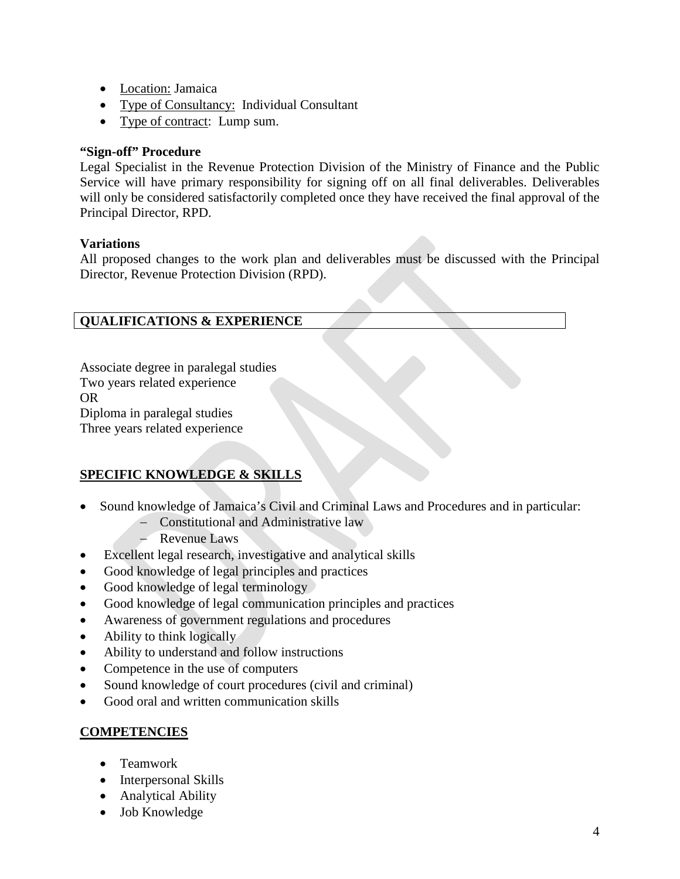- Location: Jamaica
- Type of Consultancy: Individual Consultant
- Type of contract: Lump sum.

## **"Sign-off" Procedure**

Legal Specialist in the Revenue Protection Division of the Ministry of Finance and the Public Service will have primary responsibility for signing off on all final deliverables. Deliverables will only be considered satisfactorily completed once they have received the final approval of the Principal Director, RPD.

## **Variations**

All proposed changes to the work plan and deliverables must be discussed with the Principal Director, Revenue Protection Division (RPD).

# **QUALIFICATIONS & EXPERIENCE**

Associate degree in paralegal studies Two years related experience OR Diploma in paralegal studies Three years related experience

# **SPECIFIC KNOWLEDGE & SKILLS**

- Sound knowledge of Jamaica's Civil and Criminal Laws and Procedures and in particular:
	- − Constitutional and Administrative law
	- − Revenue Laws
- Excellent legal research, investigative and analytical skills
- Good knowledge of legal principles and practices
- Good knowledge of legal terminology
- Good knowledge of legal communication principles and practices
- Awareness of government regulations and procedures
- Ability to think logically
- Ability to understand and follow instructions
- Competence in the use of computers
- Sound knowledge of court procedures (civil and criminal)
- Good oral and written communication skills

# **COMPETENCIES**

- Teamwork
- Interpersonal Skills
- Analytical Ability
- Job Knowledge